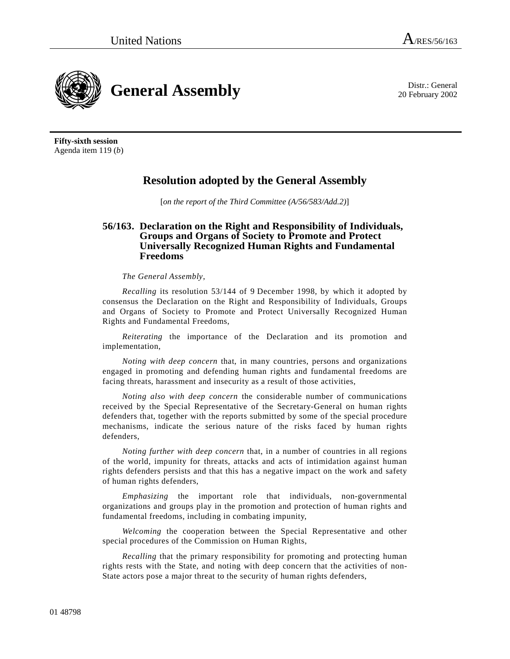20 February 2002



**Fifty-sixth session**  Agenda item 119 (*b*)

## **Resolution adopted by the General Assembly**

[*on the report of the Third Committee (A/56/583/Add.2)*]

## **56/163. Declaration on the Right and Responsibility of Individuals, Groups and Organs of Society to Promote and Protect Universally Recognized Human Rights and Fundamental Freedoms**

## *The General Assembly*,

*Recalling* its resolution 53/144 of 9 December 1998, by which it adopted by consensus the Declaration on the Right and Responsibility of Individuals, Groups and Organs of Society to Promote and Protect Universally Recognized Human Rights and Fundamental Freedoms,

*Reiterating* the importance of the Declaration and its promotion and implementation,

*Noting with deep concern* that, in many countries, persons and organizations engaged in promoting and defending human rights and fundamental freedoms are facing threats, harassment and insecurity as a result of those activities,

*Noting also with deep concern* the considerable number of communications received by the Special Representative of the Secretary-General on human rights defenders that, together with the reports submitted by some of the special procedure mechanisms, indicate the serious nature of the risks faced by human rights defenders,

*Noting further with deep concern* that, in a number of countries in all regions of the world, impunity for threats, attacks and acts of intimidation against human rights defenders persists and that this has a negative impact on the work and safety of human rights defenders,

*Emphasizing* the important role that individuals, non-governmental organizations and groups play in the promotion and protection of human rights and fundamental freedoms, including in combating impunity,

*Welcoming* the cooperation between the Special Representative and other special procedures of the Commission on Human Rights,

*Recalling* that the primary responsibility for promoting and protecting human rights rests with the State, and noting with deep concern that the activities of non-State actors pose a major threat to the security of human rights defenders,